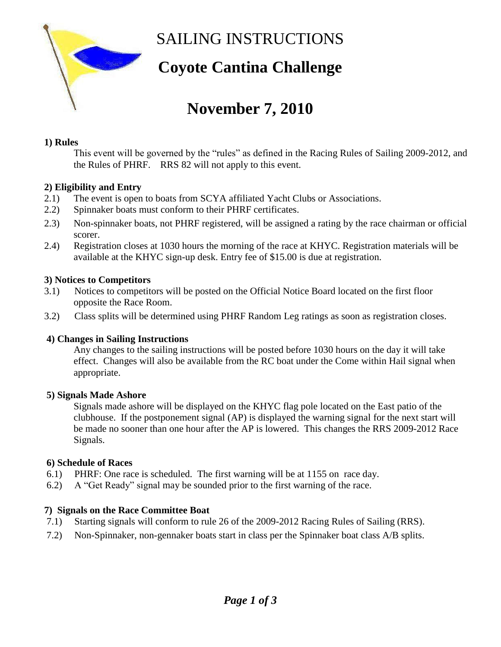

SAILING INSTRUCTIONS

## **Coyote Cantina Challenge**

# **November 7, 2010**

#### **1) Rules**

This event will be governed by the "rules" as defined in the Racing Rules of Sailing 2009-2012, and the Rules of PHRF. RRS 82 will not apply to this event.

#### **2) Eligibility and Entry**

- 2.1) The event is open to boats from SCYA affiliated Yacht Clubs or Associations.
- 2.2) Spinnaker boats must conform to their PHRF certificates.
- 2.3) Non-spinnaker boats, not PHRF registered, will be assigned a rating by the race chairman or official scorer.
- 2.4) Registration closes at 1030 hours the morning of the race at KHYC. Registration materials will be available at the KHYC sign-up desk. Entry fee of \$15.00 is due at registration.

#### **3) Notices to Competitors**

- 3.1) Notices to competitors will be posted on the Official Notice Board located on the first floor opposite the Race Room.
- 3.2) Class splits will be determined using PHRF Random Leg ratings as soon as registration closes.

#### **4) Changes in Sailing Instructions**

Any changes to the sailing instructions will be posted before 1030 hours on the day it will take effect. Changes will also be available from the RC boat under the Come within Hail signal when appropriate.

#### **5) Signals Made Ashore**

 Signals made ashore will be displayed on the KHYC flag pole located on the East patio of the clubhouse. If the postponement signal (AP) is displayed the warning signal for the next start will be made no sooner than one hour after the AP is lowered. This changes the RRS 2009-2012 Race Signals.

#### **6) Schedule of Races**

- 6.1) PHRF: One race is scheduled. The first warning will be at 1155 on race day.
- 6.2) A "Get Ready" signal may be sounded prior to the first warning of the race.

#### **7) Signals on the Race Committee Boat**

- 7.1) Starting signals will conform to rule 26 of the 2009-2012 Racing Rules of Sailing (RRS).
- 7.2) Non-Spinnaker, non-gennaker boats start in class per the Spinnaker boat class A/B splits.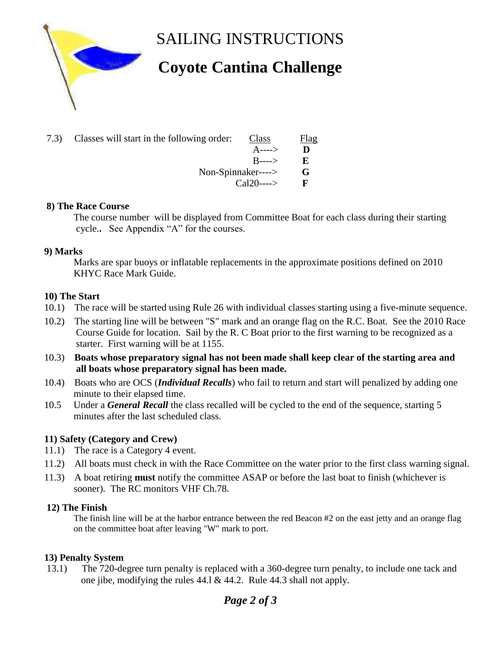

SAILING INSTRUCTIONS

# **Coyote Cantina Challenge**

| 7.3) Classes will start in the following order: | Class      | <b>Flag</b> |
|-------------------------------------------------|------------|-------------|
|                                                 | A---->     | Ð           |
|                                                 | $B$ ---->  | E.          |
| Non-Spinnaker---->                              |            | G           |
|                                                 | $Cal20---$ |             |
|                                                 |            |             |

#### **8) The Race Course**

The course number will be displayed from Committee Boat for each class during their starting cycle.**.** See Appendix "A" for the courses.

#### **9) Marks**

 Marks are spar buoys or inflatable replacements in the approximate positions defined on 2010 KHYC Race Mark Guide.

#### **10) The Start**

- 10.1) The race will be started using Rule 26 with individual classes starting using a five-minute sequence.
- 10.2) The starting line will be between "S" mark and an orange flag on the R.C. Boat. See the 2010 Race Course Guide for location. Sail by the R. C Boat prior to the first warning to be recognized as a starter. First warning will be at 1155.
- 10.3) **Boats whose preparatory signal has not been made shall keep clear of the starting area and all boats whose preparatory signal has been made.**
- 10.4) Boats who are OCS (*Individual Recalls*) who fail to return and start will penalized by adding one minute to their elapsed time.
- 10.5 Under a *General Recall* the class recalled will be cycled to the end of the sequence, starting 5 minutes after the last scheduled class.

#### **11) Safety (Category and Crew)**

- 11.1) The race is a Category 4 event.
- 11.2) All boats must check in with the Race Committee on the water prior to the first class warning signal.
- 11.3) A boat retiring **must** notify the committee ASAP or before the last boat to finish (whichever is sooner). The RC monitors VHF Ch.78.

#### **12) The Finish**

 The finish line will be at the harbor entrance between the red Beacon #2 on the east jetty and an orange flag on the committee boat after leaving "W" mark to port.

#### **13) Penalty System**

13.1) The 720-degree turn penalty is replaced with a 360-degree turn penalty, to include one tack and one jibe, modifying the rules 44.l & 44.2. Rule 44.3 shall not apply.

### *Page 2 of 3*